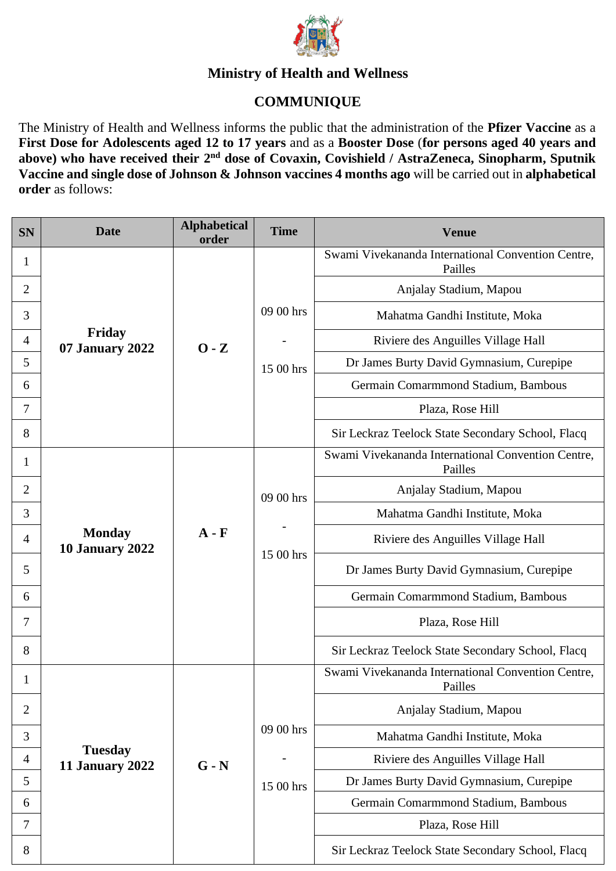

## **Ministry of Health and Wellness**

## **COMMUNIQUE**

The Ministry of Health and Wellness informs the public that the administration of the **Pfizer Vaccine** as a **First Dose for Adolescents aged 12 to 17 years** and as a **Booster Dose** (**for persons aged 40 years and**  above) who have received their 2<sup>nd</sup> dose of Covaxin, Covishield / AstraZeneca, Sinopharm, Sputnik **Vaccine and single dose of Johnson & Johnson vaccines 4 months ago** will be carried out in **alphabetical order** as follows:

| <b>SN</b>      | <b>Date</b>                              | <b>Alphabetical</b><br>order | <b>Time</b> | <b>Venue</b>                                                  |
|----------------|------------------------------------------|------------------------------|-------------|---------------------------------------------------------------|
| 1              |                                          |                              |             | Swami Vivekananda International Convention Centre,<br>Pailles |
| $\overline{2}$ |                                          |                              |             | Anjalay Stadium, Mapou                                        |
| 3              |                                          |                              | 09 00 hrs   | Mahatma Gandhi Institute, Moka                                |
| $\overline{4}$ | Friday<br>07 January 2022                | $0 - Z$                      |             | Riviere des Anguilles Village Hall                            |
| 5              |                                          |                              | 15 00 hrs   | Dr James Burty David Gymnasium, Curepipe                      |
| 6              |                                          |                              |             | Germain Comarmmond Stadium, Bambous                           |
| 7              |                                          |                              |             | Plaza, Rose Hill                                              |
| 8              |                                          |                              |             | Sir Leckraz Teelock State Secondary School, Flacq             |
| 1              |                                          |                              |             | Swami Vivekananda International Convention Centre,<br>Pailles |
| $\overline{2}$ |                                          |                              | 09 00 hrs   | Anjalay Stadium, Mapou                                        |
| 3              |                                          |                              |             | Mahatma Gandhi Institute, Moka                                |
| $\overline{4}$ | <b>Monday</b><br><b>10 January 2022</b>  | $A - F$                      | 15 00 hrs   | Riviere des Anguilles Village Hall                            |
| 5              |                                          |                              |             | Dr James Burty David Gymnasium, Curepipe                      |
| 6              |                                          |                              |             | Germain Comarmmond Stadium, Bambous                           |
| 7              |                                          |                              |             | Plaza, Rose Hill                                              |
| 8              |                                          |                              |             | Sir Leckraz Teelock State Secondary School, Flacq             |
|                |                                          |                              |             | Swami Vivekananda International Convention Centre,<br>Pailles |
| $\overline{2}$ |                                          |                              |             | Anjalay Stadium, Mapou                                        |
| 3              |                                          | $G - N$                      | 09 00 hrs   | Mahatma Gandhi Institute, Moka                                |
| $\overline{4}$ | <b>Tuesday</b><br><b>11 January 2022</b> |                              |             | Riviere des Anguilles Village Hall                            |
| 5              |                                          |                              | 15 00 hrs   | Dr James Burty David Gymnasium, Curepipe                      |
| 6              |                                          |                              |             | Germain Comarmmond Stadium, Bambous                           |
| 7              |                                          |                              |             | Plaza, Rose Hill                                              |
| 8              |                                          |                              |             | Sir Leckraz Teelock State Secondary School, Flacq             |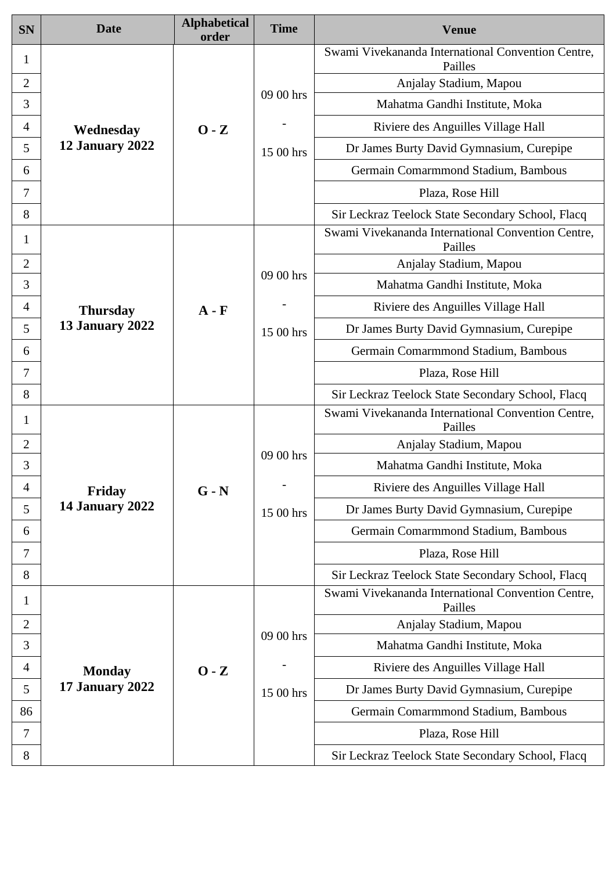| <b>SN</b>      | <b>Date</b>                      | <b>Alphabetical</b><br>order | <b>Time</b> | <b>Venue</b>                                                  |
|----------------|----------------------------------|------------------------------|-------------|---------------------------------------------------------------|
| 1              |                                  |                              |             | Swami Vivekananda International Convention Centre,<br>Pailles |
| $\overline{2}$ |                                  |                              |             | Anjalay Stadium, Mapou                                        |
| 3              |                                  |                              | 09 00 hrs   | Mahatma Gandhi Institute, Moka                                |
| 4              | Wednesday                        | $0 - Z$                      |             | Riviere des Anguilles Village Hall                            |
| 5              | 12 January 2022                  |                              | 15 00 hrs   | Dr James Burty David Gymnasium, Curepipe                      |
| 6              |                                  |                              |             | Germain Comarmmond Stadium, Bambous                           |
| 7              |                                  |                              |             | Plaza, Rose Hill                                              |
| 8              |                                  |                              |             | Sir Leckraz Teelock State Secondary School, Flacq             |
| 1              |                                  |                              |             | Swami Vivekananda International Convention Centre,<br>Pailles |
| $\overline{2}$ |                                  |                              | 09 00 hrs   | Anjalay Stadium, Mapou                                        |
| 3              |                                  |                              |             | Mahatma Gandhi Institute, Moka                                |
| 4              | <b>Thursday</b>                  | $A - F$                      |             | Riviere des Anguilles Village Hall                            |
| 5              | <b>13 January 2022</b>           |                              | 15 00 hrs   | Dr James Burty David Gymnasium, Curepipe                      |
| 6              |                                  |                              |             | Germain Comarmmond Stadium, Bambous                           |
| 7              |                                  |                              |             | Plaza, Rose Hill                                              |
| 8              |                                  |                              |             | Sir Leckraz Teelock State Secondary School, Flacq             |
| 1              |                                  |                              |             | Swami Vivekananda International Convention Centre,<br>Pailles |
| $\overline{2}$ |                                  |                              | 09 00 hrs   | Anjalay Stadium, Mapou                                        |
| 3              |                                  |                              |             | Mahatma Gandhi Institute, Moka                                |
| 4              | Friday                           | $G - N$                      |             | Riviere des Anguilles Village Hall                            |
| 5              | <b>14 January 2022</b>           |                              | 15 00 hrs   | Dr James Burty David Gymnasium, Curepipe                      |
| 6              |                                  |                              |             | Germain Comarmmond Stadium, Bambous                           |
| 7              |                                  |                              |             | Plaza, Rose Hill                                              |
| 8              |                                  |                              |             | Sir Leckraz Teelock State Secondary School, Flacq             |
| 1              |                                  |                              |             | Swami Vivekananda International Convention Centre,<br>Pailles |
| $\overline{2}$ | <b>Monday</b><br>17 January 2022 | $0 - Z$                      | 09 00 hrs   | Anjalay Stadium, Mapou                                        |
| 3              |                                  |                              |             | Mahatma Gandhi Institute, Moka                                |
| 4              |                                  |                              |             | Riviere des Anguilles Village Hall                            |
| 5              |                                  |                              | 15 00 hrs   | Dr James Burty David Gymnasium, Curepipe                      |
| 86             |                                  |                              |             | Germain Comarmmond Stadium, Bambous                           |
| 7              |                                  |                              |             | Plaza, Rose Hill                                              |
| 8              |                                  |                              |             | Sir Leckraz Teelock State Secondary School, Flacq             |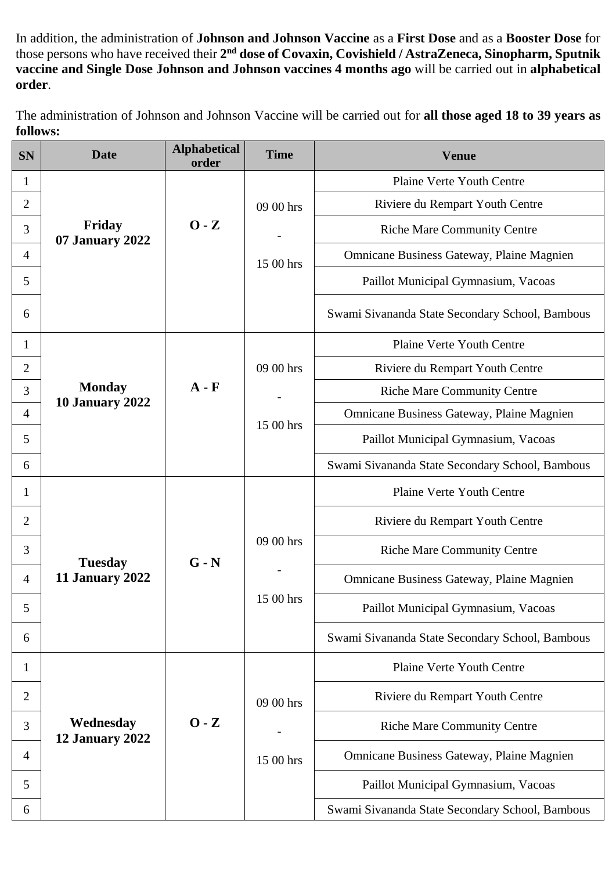In addition, the administration of **Johnson and Johnson Vaccine** as a **First Dose** and as a **Booster Dose** for those persons who have received their **2 nd dose of Covaxin, Covishield / AstraZeneca, Sinopharm, Sputnik vaccine and Single Dose Johnson and Johnson vaccines 4 months ago** will be carried out in **alphabetical order**.

The administration of Johnson and Johnson Vaccine will be carried out for **all those aged 18 to 39 years as follows:**

| <b>SN</b>      | <b>Date</b>                             | <b>Alphabetical</b><br>order | <b>Time</b>            | <b>Venue</b>                                     |
|----------------|-----------------------------------------|------------------------------|------------------------|--------------------------------------------------|
| 1              |                                         |                              |                        | Plaine Verte Youth Centre                        |
| $\overline{2}$ |                                         |                              | 09 00 hrs              | Riviere du Rempart Youth Centre                  |
| 3              | Friday<br>07 January 2022               | $0 - Z$                      |                        | <b>Riche Mare Community Centre</b>               |
| $\overline{4}$ |                                         |                              | 15 00 hrs              | <b>Omnicane Business Gateway, Plaine Magnien</b> |
| 5              |                                         |                              |                        | Paillot Municipal Gymnasium, Vacoas              |
| 6              |                                         |                              |                        | Swami Sivananda State Secondary School, Bambous  |
| 1              |                                         |                              |                        | <b>Plaine Verte Youth Centre</b>                 |
| $\overline{2}$ |                                         |                              | 09 00 hrs              | Riviere du Rempart Youth Centre                  |
| 3              | <b>Monday</b><br><b>10 January 2022</b> | $A - F$                      |                        | <b>Riche Mare Community Centre</b>               |
| $\overline{4}$ |                                         |                              | 15 00 hrs              | Omnicane Business Gateway, Plaine Magnien        |
| 5              |                                         |                              |                        | Paillot Municipal Gymnasium, Vacoas              |
| 6              |                                         |                              |                        | Swami Sivananda State Secondary School, Bambous  |
| 1              |                                         |                              |                        | <b>Plaine Verte Youth Centre</b>                 |
| 2              |                                         |                              |                        | Riviere du Rempart Youth Centre                  |
| 3              | <b>Tuesday</b><br>11 January 2022       | $G - N$                      | 09 00 hrs<br>15 00 hrs | <b>Riche Mare Community Centre</b>               |
| 4              |                                         |                              |                        | Omnicane Business Gateway, Plaine Magnien        |
| 5              |                                         |                              |                        | Paillot Municipal Gymnasium, Vacoas              |
| 6              |                                         |                              |                        | Swami Sivananda State Secondary School, Bambous  |
| 1              |                                         |                              |                        | <b>Plaine Verte Youth Centre</b>                 |
| 2              |                                         |                              | 09 00 hrs              | Riviere du Rempart Youth Centre                  |
| 3              | Wednesday<br>12 January 2022            | $0 - Z$                      |                        | <b>Riche Mare Community Centre</b>               |
| $\overline{4}$ |                                         |                              | 15 00 hrs              | <b>Omnicane Business Gateway, Plaine Magnien</b> |
| 5              |                                         |                              |                        | Paillot Municipal Gymnasium, Vacoas              |
| 6              |                                         |                              |                        | Swami Sivananda State Secondary School, Bambous  |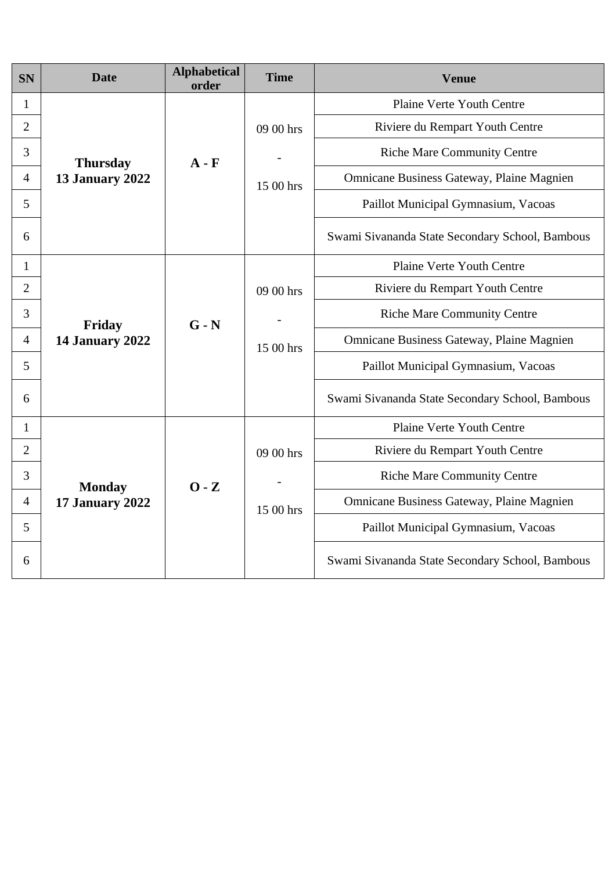| <b>SN</b>      | <b>Date</b>                             | <b>Alphabetical</b><br>order | <b>Time</b>            | <b>Venue</b>                                    |
|----------------|-----------------------------------------|------------------------------|------------------------|-------------------------------------------------|
| 1              |                                         |                              |                        | Plaine Verte Youth Centre                       |
| $\overline{2}$ |                                         | $A - F$                      | 09 00 hrs<br>15 00 hrs | Riviere du Rempart Youth Centre                 |
| 3              | <b>Thursday</b>                         |                              |                        | <b>Riche Mare Community Centre</b>              |
| $\overline{4}$ | <b>13 January 2022</b>                  |                              |                        | Omnicane Business Gateway, Plaine Magnien       |
| 5              |                                         |                              |                        | Paillot Municipal Gymnasium, Vacoas             |
| 6              |                                         |                              |                        | Swami Sivananda State Secondary School, Bambous |
| 1              |                                         |                              |                        | Plaine Verte Youth Centre                       |
| $\overline{2}$ |                                         |                              | 09 00 hrs              | Riviere du Rempart Youth Centre                 |
| 3              | Friday<br><b>14 January 2022</b>        | $G - N$                      | 15 00 hrs              | <b>Riche Mare Community Centre</b>              |
| $\overline{4}$ |                                         |                              |                        | Omnicane Business Gateway, Plaine Magnien       |
| 5              |                                         |                              |                        | Paillot Municipal Gymnasium, Vacoas             |
| 6              |                                         |                              |                        | Swami Sivananda State Secondary School, Bambous |
| $\mathbf{1}$   |                                         |                              |                        | Plaine Verte Youth Centre                       |
| $\overline{2}$ |                                         | $0 - Z$                      | 09 00 hrs<br>15 00 hrs | Riviere du Rempart Youth Centre                 |
| 3              | <b>Monday</b><br><b>17 January 2022</b> |                              |                        | <b>Riche Mare Community Centre</b>              |
| $\overline{4}$ |                                         |                              |                        | Omnicane Business Gateway, Plaine Magnien       |
| 5              |                                         |                              |                        | Paillot Municipal Gymnasium, Vacoas             |
| 6              |                                         |                              |                        | Swami Sivananda State Secondary School, Bambous |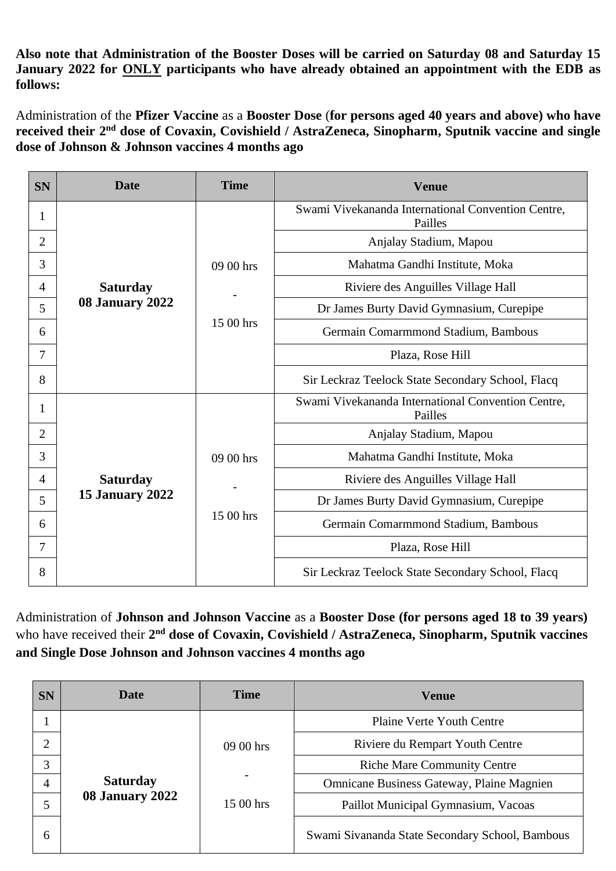**Also note that Administration of the Booster Doses will be carried on Saturday 08 and Saturday 15 January 2022 for ONLY participants who have already obtained an appointment with the EDB as follows:**

Administration of the **Pfizer Vaccine** as a **Booster Dose** (**for persons aged 40 years and above) who have**  received their 2<sup>nd</sup> dose of Covaxin, Covishield / AstraZeneca, Sinopharm, Sputnik vaccine and single **dose of Johnson & Johnson vaccines 4 months ago**

| <b>SN</b>      | <b>Date</b>     | <b>Time</b> | <b>Venue</b>                                                  |
|----------------|-----------------|-------------|---------------------------------------------------------------|
| 1              |                 |             | Swami Vivekananda International Convention Centre,<br>Pailles |
| $\overline{2}$ |                 |             | Anjalay Stadium, Mapou                                        |
| 3              |                 | 09 00 hrs   | Mahatma Gandhi Institute, Moka                                |
| 4              | <b>Saturday</b> |             | Riviere des Anguilles Village Hall                            |
| 5              | 08 January 2022 |             | Dr James Burty David Gymnasium, Curepipe                      |
| 6              |                 | 15 00 hrs   | Germain Comarmmond Stadium, Bambous                           |
| 7              |                 |             | Plaza, Rose Hill                                              |
| 8              |                 |             | Sir Leckraz Teelock State Secondary School, Flacq             |
| 1              |                 |             | Swami Vivekananda International Convention Centre,<br>Pailles |
| 2              |                 |             | Anjalay Stadium, Mapou                                        |
| 3              |                 | 09 00 hrs   | Mahatma Gandhi Institute, Moka                                |
| 4              | <b>Saturday</b> |             | Riviere des Anguilles Village Hall                            |
| 5              | 15 January 2022 |             | Dr James Burty David Gymnasium, Curepipe                      |
| 6              |                 | 15 00 hrs   | Germain Comarmmond Stadium, Bambous                           |
| 7              |                 |             | Plaza, Rose Hill                                              |
| 8              |                 |             | Sir Leckraz Teelock State Secondary School, Flacq             |

Administration of **Johnson and Johnson Vaccine** as a **Booster Dose (for persons aged 18 to 39 years)** who have received their 2<sup>nd</sup> dose of Covaxin, Covishield / AstraZeneca, Sinopharm, Sputnik vaccines **and Single Dose Johnson and Johnson vaccines 4 months ago**

| <b>SN</b>      | Date            | <b>Time</b> | <b>Venue</b>                                    |
|----------------|-----------------|-------------|-------------------------------------------------|
|                |                 |             | <b>Plaine Verte Youth Centre</b>                |
| 2              |                 | 09 00 hrs   | Riviere du Rempart Youth Centre                 |
| 3              |                 |             | <b>Riche Mare Community Centre</b>              |
| $\overline{4}$ | <b>Saturday</b> |             | Omnicane Business Gateway, Plaine Magnien       |
|                | 08 January 2022 | 15 00 hrs   | Paillot Municipal Gymnasium, Vacoas             |
| 6              |                 |             | Swami Sivananda State Secondary School, Bambous |